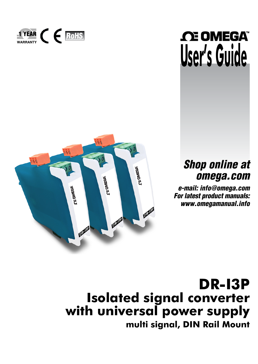

# THEAR C E ROHS **SOMEGA**

# *Shop online at omega.com*

*e-mail: info@omega.com For latest product manuals: www.omegamanual.info*

**DR-I3P Isolated signal converter with universal power supply multi signal, DIN Rail Mount**

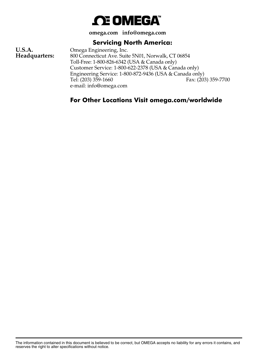

**omega.com info@omega.com**

# **Servicing North America:**

**U.S.A.** Omega Engineering, Inc.<br> **Headquarters:** 800 Connecticut Ave. Suit 800 Connecticut Ave. Suite 5N01, Norwalk, CT 06854 Toll-Free: 1-800-826-6342 (USA & Canada only) Customer Service: 1-800-622-2378 (USA & Canada only) Engineering Service: 1-800-872-9436 (USA & Canada only)<br>Tel: (203) 359-1660 Fax: (203) Fax: (203) 359-7700 e-mail: info@omega.com

# **For Other Locations Visit omega.com/worldwide**

The information contained in this document is believed to be correct, but OMEGA accepts no liability for any errors it contains, and reserves the right to alter specifications without notice.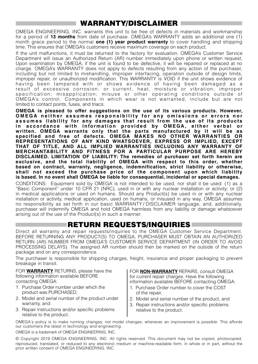# WARRANTY/DISCLAIMER

OMEGA ENGINEERING, INC. warrants this unit to be free of defects in materials and workmanship for a period of **13 months** from date of purchase. OMEGA's WARRANTY adds an additional one (1) month grace period to the normal **one (1) year product warranty** to cover handling and shipping time. This ensures that OMEGA's customers receive maximum coverage on each product.

If the unit malfunctions, it must be returned to the factory for evaluation. OMEGA's Customer Service Department will issue an Authorized Return (AR) number immediately upon phone or written request. Upon examination by OMEGA, if the unit is found to be defective, it will be repaired or replaced at no charge. OMEGA's WARRANTY does not apply to defects resulting from any action of the purchaser, including but not limited to mishandling, improper interfacing, operation outside of design limits, improper repair, or unauthorized modification. This WARRANTY is VOID if the unit shows evidence of having been tampered with or shows evidence of having been damaged as a result of excessive corrosion; or current, heat, moisture or vibration; improper specification; misapplication; misuse or other operating conditions outside of OMEGA's control. Components in which wear is not warranted, include but are not limited to contact points, fuses, and triacs.

**OMEGA is pleased to offer suggestions on the use of its various products. However, OMEGA neither assumes responsibility for any omissions or errors nor assumes liability for any damages that result from the use of its products**  in accordance with information provided by OMEGA, either verbal or **written. OMEGA warrants only that the parts manufactured by it will be as specified and free of defects. OMEGA MAKES NO OTHER WARRANTIES OR REPRESENTATIONS OF ANY KIND WHATSOEVER, EXPRESS OR IMPLIED, EXCEPT THAT OF TITLE, AND ALL IMPLIED WARRANTIES INCLUDING ANY WARRANTY OF MERCHANTABILITY AND FITNESS FOR A PARTICULAR PURPOSE ARE HEREBY DISCLAIMED. LIMITATION OF LIABILITY: The remedies of purchaser set forth herein are exclusive, and the total liability of OMEGA with respect to this order, whether based on contract, warranty, negligence, indemnification, strict liability or otherwise, shall not exceed the purchase price of the component upon which liability is based. In no event shall OMEGA be liable for consequential, incidental or special damages.**

CONDITIONS: Equipment sold by OMEGA is not intended to be used, nor shall it be used: (1) as a "Basic Component" under 10 CFR 21 (NRC), used in or with any nuclear installation or activity; or (2) in medical applications or used on humans. Should any Product(s) be used in or with any nuclear installation or activity, medical application, used on humans, or misused in any way, OMEGA assumes no responsibility as set forth in our basic WARRANTY / DISCLAIMER language, and, additionally, purchaser will indemnify OMEGA and hold OMEGA harmless from any liability or damage whatsoever arising out of the use of the Product(s) in such a manner.

# RETURN REQUESTS/INQUIRIES

Direct all warranty and repair requests/inquiries to the OMEGA Customer Service Department. BEFORE RETURNING ANY PRODUCT(S) TO OMEGA, PURCHASER MUST OBTAIN AN AUTHORIZED RETURN (AR) NUMBER FROM OMEGA'S CUSTOMER SERVICE DEPARTMENT (IN ORDER TO AVOID PROCESSING DELAYS). The assigned AR number should then be marked on the outside of the return package and on any correspondence.

The purchaser is responsible for shipping charges, freight, insurance and proper packaging to prevent breakage in transit.

FOR **WARRANTY** RETURNS, please have the following information available BEFORE contacting OMEGA:

- 1. Purchase Order number under which the product was PURCHASED,
- 2. Model and serial number of the product under warranty, and
- 3. Repair instructions and/or specific problems relative to the product.

FOR **NON-WARRANTY** REPAIRS, consult OMEGA for current repair charges. Have the following information available BEFORE contacting OMEGA:

- 1. Purchase Order number to cover the COST of the repair,
- 2. Model and serial number of the product, and
- 3. Repair instructions and/or specific problems relative to the product.

OMEGA's policy is to make running changes, not model changes, whenever an improvement is possible. This affords our customers the latest in technology and engineering.

OMEGA is a trademark of OMEGA ENGINEERING, INC.

© Copyright 2019 OMEGA ENGINEERING, INC. All rights reserved. This document may not be copied, photocopied, reproduced, translated, or reduced to any electronic medium or machine-readable form, in whole or in part, without the prior written consent of OMEGA ENGINEERING, INC.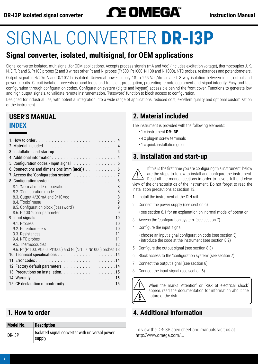# DR-I3P isolated signal converter<br> **Instruction Manual**

# SIGNAL CONVERTER **DR-I3P**

# **Signal converter, isolated, multisignal, for OEM applications**

Signal converter isolated, multisignal ,for OEM applications. Accepts process signals (mA and Vdc) (includes excitation voltage), thermocouples J, K, N, E, T, R and S, Pt100 probes (2 and 3 wires) other Pt and Ni probes (Pt500, Pt1000, Ni100 and Ni1000), NTC probes, resistances and potentiometers. Output signal in 4/20 mA and 0/10 Vdc, isolated. Universal power supply 18 to 265 Vac/dc isolated. 3 way isolation between input, output and power circuits. Circuit isolation prevents ground loops and transient propagation, protecting remote equipment and signal integrity. Easy and fast configuration through configuration codes. Configuration system (digits and keypad) accessible behind the front cover. Functions to generate low and high output signals, to validate remote instrumentation. 'Password' function to block access to configuration.

Designed for industrial use, with potential integration into a wide range of applications, reduced cost, excellent quality and optional customization of the instrument.

# **INDEX USER'S MANUAL**

| 5. Configuration codes - Input signal $\ldots \ldots \ldots \ldots \ldots$               |
|------------------------------------------------------------------------------------------|
| 6. Connections and dimensions $(\text{mm } (\text{inch})) \ldots \ldots \ldots \ldots 6$ |
| 7. Access the 'Configuration system' 7                                                   |
| 8                                                                                        |
| 8.1. 'Normal mode' of operation<br>8                                                     |
| 8.2. 'Configuration mode'<br>8                                                           |
| 8.3. Output 4/20 mA and 0/10 Vdc<br>8                                                    |
| 8.4. 'Tools' menu<br>$\mathsf{Q}$                                                        |
| 8.5. Configuration block ('password')<br>9                                               |
| 8.6. Pt100 'alpha' parameter<br>$\mathsf{Q}$                                             |
| .10                                                                                      |
| 9.1 Process<br>10                                                                        |
| 10<br>9.2. Potentiometers                                                                |
| 9.3. Resistances<br>11                                                                   |
| 11<br>9.4. NTC probes<br>12                                                              |
| 9.5. Thermocouples                                                                       |
| 9.6. Pt (Pt100, Pt500, Pt1000) and Ni (Ni100, Ni1000) probes 13                          |
|                                                                                          |
|                                                                                          |
| 12. Factory default parameters 14                                                        |
|                                                                                          |
|                                                                                          |
| 15. CE declaration of conformity. 15                                                     |

# **1.  How to order**

| <b>Model No.</b> | <b>Description</b>                                       |
|------------------|----------------------------------------------------------|
| DR-I3P           | Isolated signal converter with universal power<br>supply |

# **2.  Material included**

The instrument is provided with the following elements:

- 1 x instrument **DR-I3P**
- 4 x plug-in screw terminals
- 1 x quick installation guide

# **3.  Installation and start-up**

If this is the first time you are configuring this instrument, below are the steps to follow to install and configure the instrument. Read all the manual sections in order to have a full and clear view of the characteristics of the instrument. Do not forget to read the installation precautions at section [13.](#page-14-1)

- 1. Install the instrument at the DIN rail
- 2. Connect the power supply [\(see section 6\)](#page-5-1)

• see section [8.1](#page-7-1) for an explanation on 'normal mode' of operation

- 3. Access the 'configuration system' [\(see section 7\)](#page-6-1)
- 4. Configure the input signal
	- choose an input signal configuration code [\(see section 5\)](#page-4-1) • introduce the code at the instrument [\(see section 8.2\)](#page-7-2)
- 5. Configure the output signal [\(see section 8.3\)](#page-7-3)
- 6. Block access to the 'configuration system' [\(see section 7\)](#page-6-1)
- 7. Connect the output signal [\(see section 6\)](#page-5-1)
- 8. Connect the input signal [\(see section 6\)](#page-5-1)



When the marks 'Attention' or 'Risk of electrical shock' appear, read the documentation for information about the nature of the risk.

# **4.  Additional information**

To view the DR-I3P spec sheet and manuals visit us at http://www.omega.com/...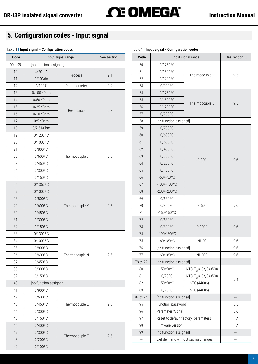# <span id="page-4-0"></span>**DR-I3P isolated signal converter Instruction Manual**

# <span id="page-4-1"></span>**5.  Configuration codes - Input signal**

#### Table 1 **| Input signal - Configuration codes**

| Code    |                        | Input signal range | See section | Code                     |                        | Input signal range                  | See section              |
|---------|------------------------|--------------------|-------------|--------------------------|------------------------|-------------------------------------|--------------------------|
| 00 a 09 | [no function assigned] |                    |             | 50                       | 0/1750 °C              |                                     |                          |
| $10\,$  | $4/20$ mA              |                    |             | 51                       | 0/1500°C               |                                     |                          |
| 11      | $0/10$ Vdc             | Process            | 9.1         | 52                       | 0/1200°C               | Thermocouple R                      | 9.5                      |
| 12      | 0/100%                 | Potentiometer      | 9.2         | 53                       | 0/900 °C               |                                     |                          |
| 13      | 0/100K0hm              |                    |             | 54                       | 0/1750 °C              |                                     |                          |
| 14      | 0/50 KOhm              |                    |             | 55                       | $0/1500$ °C            |                                     |                          |
| 15      | 0/25K0hm               |                    |             | 56                       | 0/1200°C               | Thermocouple S                      | 9.5                      |
| 16      | 0/10KOhm               | Resistance         | 9.3         | 57                       | 0/900 °C               |                                     |                          |
| 17      | 0/5K0hm                |                    |             | 58                       | [no function assigned] |                                     | $\overline{\phantom{a}}$ |
| $18\,$  | $0/2.5$ KOhm           |                    |             | 59                       | 0/700 °C               |                                     |                          |
| 19      | 0/1200°C               |                    |             | 60                       | $0/600$ °C             |                                     |                          |
| 20      | 0/1000°C               |                    |             | 61                       | 0/500 °C               |                                     |                          |
| 21      | $0/800$ °C             |                    |             | 62                       | 0/400°C                |                                     |                          |
| 22      | $0/600$ °C             | Thermocouple J     | 9.5         | 63                       | 0/300 °C               |                                     | 9.6                      |
| 23      | $0/450$ °C             |                    |             | 64                       | 0/200 °C               | Pt100                               |                          |
| 24      | 0/300 °C               |                    |             | 65                       | 0/100°C                |                                     |                          |
| 25      | $0/150$ °C             |                    |             | 66                       | $-50/+50°C$            |                                     |                          |
| 26      | 0/1350°C               |                    |             | 67                       | $-100/+100°C$          |                                     |                          |
| 27      | 0/1000°C               |                    |             | 68                       | $-200/+200°C$          |                                     |                          |
| 28      | $0/800$ °C             |                    |             | 69                       | 0/630 °C               |                                     |                          |
| 29      | $0/600$ °C             | Thermocouple K     | 9.5         | 70                       | 0/300 °C               | Pt500                               | 9.6                      |
| $30\,$  | 0/450 °C               |                    |             | 71                       | $-150/150$ °C          |                                     |                          |
| 31      | $0/300$ °C             |                    |             | 72                       | 0/630 °C               |                                     |                          |
| 32      | $0/150$ °C             |                    |             | 73                       | 0/300 °C               | Pt1000                              | 9.6                      |
| 33      | 0/1300°C               |                    |             | 74                       | -190/190 °C            |                                     |                          |
| 34      | 0/1000°C               |                    |             | 75                       | $-60/180$ °C           | Ni100                               | 9.6                      |
| 35      | $0/800$ °C             |                    |             | 76                       | [no function assigned] |                                     | 9.6                      |
| 36      | $0/600$ °C             | Thermocouple N     | 9.5         | 77                       | $-60/180$ °C           | Ni1000                              | 9.6                      |
| 37      | $0/450$ °C             |                    |             | 78 to 79                 | [no function assigned] |                                     | ---                      |
| 38      | 0/300 °C               |                    |             | 80                       | $-50/50$ °C            | NTC (R <sub>25</sub> =10K, β=3500)  |                          |
| 39      | $0/150$ °C             |                    |             | 81                       | $0/90$ °C              | NTC (R <sub>25</sub> =10K, β=3500)  | 9.4                      |
| 40      | [no function assigned] |                    | $\cdots$    | 82                       | $-50/50$ °C            | NTC (44006)                         |                          |
| 41      | 0/900 °C               |                    |             | 83                       | 0/90 °C                | NTC (44006)                         |                          |
| 42      | $0/600$ °C             |                    |             | 84 to 94                 | [no function assigned] |                                     | $\overline{\phantom{a}}$ |
| 43      | $0/450$ °C             | Thermocouple E     | 9.5         | 95                       | Function 'password'    |                                     | 8.5                      |
| 44      | 0/300 °C               |                    |             | 96                       | Parameter 'Alpha'      |                                     | 8.6                      |
| 45      | $0/150$ °C             |                    |             | 97                       |                        | Reset to default factory parameters | 12                       |
| 46      | $0/400$ °C             |                    |             | 98                       | Firmware version       |                                     | 12                       |
| 47      | $0/300$ °C             | Thermocouple T     | 9.5         | 99                       | [no function assigned] |                                     | ---                      |
| 48      | 0/200 °C               |                    |             | $\overline{\phantom{a}}$ |                        | Exit de menu without saving changes | $\overline{a}$           |
| 49      | $0/100$ °C             |                    |             |                          |                        |                                     |                          |

# Table 1 **| Input signal - Configuration codes**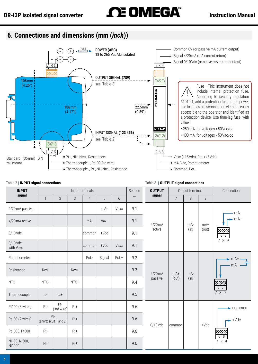# <span id="page-5-0"></span>**DR-I3P isolated signal converter Instruction Manual**

<span id="page-5-1"></span>

#### Table 2 **| INPUT signal connections**

<span id="page-5-2"></span>

| <b>INPUT</b>            |       |                               |       | Input terminals |        |       | Section<br><b>OUTPUT</b> |            | Output terminals |        |                | Connections                                                                                                                                            |
|-------------------------|-------|-------------------------------|-------|-----------------|--------|-------|--------------------------|------------|------------------|--------|----------------|--------------------------------------------------------------------------------------------------------------------------------------------------------|
| signal                  | 1     | $\overline{2}$                | 3     | $\overline{4}$  | 5      | 6     | $\cdots$                 | signal     | $7\overline{ }$  | 8      | $\overline{9}$ |                                                                                                                                                        |
| 4/20 mA passive         |       |                               |       |                 | mA-    | Vexc  | 9.1                      |            |                  |        |                | mA-                                                                                                                                                    |
| 4/20 mA active          |       |                               |       | $mA-$           | $mA+$  |       | 9.1                      | $4/20$ mA  |                  | mA-    | $mA+$          | $-mA+$                                                                                                                                                 |
| 0/10 Vdc                |       |                               |       | common          | $+Vdc$ |       | 9.1                      | active     |                  | (in)   | (out)          | <u> ଚତତ</u><br>ण                                                                                                                                       |
| $0/10$ Vdc<br>with Vexc |       |                               |       | common          | $+Vdc$ | Vexc  | 9.1                      |            |                  |        |                | 789                                                                                                                                                    |
| Potentiometer           |       |                               |       | Pot.-           | Signal | Pot.+ | 9.2                      |            |                  |        |                | $\begin{array}{c}\n\blacktriangleright \text{mA+} \longrightarrow \\ \begin{array}{c}\n\text{mA-} \longrightarrow \\ \hline\n\end{array}\n\end{array}$ |
| Resistance              | Res-  |                               | Res+  |                 |        |       | 9.3                      | $4/20$ mA  | $mA+$            | $mA -$ |                |                                                                                                                                                        |
| <b>NTC</b>              | NTC-  |                               | NTC+  |                 |        |       | 9.4                      | passive    | (out)            | (in)   |                | ଡଡ<br>णण                                                                                                                                               |
| Thermocouple            | tc-   | $tc+$                         |       |                 |        |       | 9.5                      |            |                  |        |                | 789                                                                                                                                                    |
| Pt100 (3 wires)         | Pt-   | Pt-<br>(3rd wire)             | Pt+   |                 |        |       | 9.6                      |            |                  |        |                | $\blacktriangleright$ common                                                                                                                           |
| Pt100 (2 wires)         |       | Pt-<br>(shortcircuit 1 and 2) | Pt+   |                 |        |       | 9.6                      | $0/10$ Vdc |                  |        | $+Vdc$         | $\rightarrow$ +Vdc                                                                                                                                     |
| Pt1000, Pt500           | Pt-   |                               | Pt+   |                 |        |       | 9.6                      |            | common           |        |                | ୦୦୦<br>णण                                                                                                                                              |
| Ni100, Ni500,<br>Ni1000 | $Ni-$ |                               | $N +$ |                 |        |       | 9.6                      |            |                  |        |                | 789                                                                                                                                                    |

#### <span id="page-5-3"></span>Table 3 **| OUTPUT signal connections**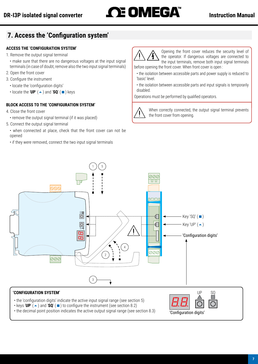# <span id="page-6-0"></span>DR-I3P isolated signal converter<br> **Instruction Manual**

# <span id="page-6-1"></span>**7.  Access the 'Configuration system'**

# **ACCESS THE 'CONFIGURATION SYSTEM'**

- 1. Remove the output signal terminal
	- make sure that there are no dangerous voltages at the input signal terminals (in case of doubt, remove also the two input signal terminals)
- 2. Open the front cover
- 3. Configure the instrument
	- locate the 'configuration digits'
	- $\cdot$  locate the 'UP' ( $\blacktriangle$ ) and 'SQ' ( $\blacksquare$ ) keys

# **BLOCK ACCESS TO THE 'CONFIGURATION SYSTEM'**

- 4. Close the front cover
	- remove the output signal terminal (if it was placed)
- 5. Connect the output signal terminal
	- when connected at place, check that the front cover can not be opened
	- if they were removed, connect the two input signal terminals



Opening the front cover reduces the security level of the operator. If dangerous voltages are connected to the input terminals, remove both input signal terminals before opening the front cover. When front cover is open :

- the isolation between accessible parts and power supply is reduced to 'basic' level.
- the isolation between accessible parts and input signals is temporarily disabled.

Operations must be performed by qualified operators.



When correctly connected, the output signal terminal prevents the front cover from opening.



## **'CONFIGURATION SYSTEM'**

- the 'configuration digits' indicate the active input signal range [\(see section 5\)](#page-4-1)
- $\cdot$  keys 'UP' ( $\triangle$ ) and 'SQ' ( $\blacksquare$ ) to configure the instrument [\(see section 8.2\)](#page-7-2)

• the decimal point position indicates the active output signal range [\(see section 8.3\)](#page-7-3)

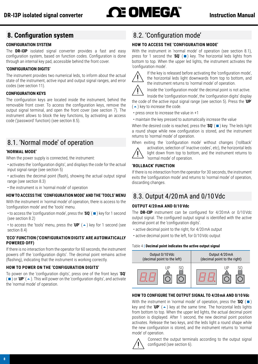# <span id="page-7-0"></span>**8.  Configuration system**

# **CONFIGURATION SYSTEM**

The **DR-I3P** isolated signal converter provides a fast and easy configuration system, based on function codes. Configuration is done through an internal key pad, accessible behind the front cover.

# **'CONFIGURATION DIGITS'**

The instrument provides two numerical leds, to inform about the actual state of the instrument, active input and output signal ranges, and error codes [\(see section 11\).](#page-13-2)

# **CONFIGURATION KEYS**

The configuration keys are located inside the instrument, behind the removable front cover. To access the configuration keys, remove the output signal terminal, and open the front cover [\(see section 7\)](#page-6-1). The instrument allows to block the key functions, by activating an access code ('password' function) [\(see section 8.5\)](#page-8-1).

# <span id="page-7-1"></span>8.1.  'Normal mode' of operation

# **'NORMAL MODE'**

When the power supply is connected, the instrument:

- activates the 'configuration digits', and displays the code for the actual input signal range [\(see section 5\)](#page-4-1)
- activates the decimal point (flash), showing the actual output signal range [\(see section 8.3\)](#page-7-3)
- the instrument is in 'normal mode' of operation

# **HOW TO ACCESS THE 'CONFIGURATION MODE' AND THE 'TOOLS' MENU**

With the instrument in 'normal mode' of operation, there is access to the 'configuration mode' and the 'tools' menu.

• to access the 'configuration mode', press the ' $SQ'$  ( $\blacksquare$ ) key for 1 second [\(see section 8.2\)](#page-7-2)

• to access the 'tools' menu, press the 'UP'  $($   $\blacktriangle$   $)$  key for 1 second [\(see](#page-8-3) [section 8.4\)](#page-8-3)

## **'ECO' FUNCTION ('CONFIGURATION DIGITS' ARE AUTOMATICALLY POWERED OFF)**

If there is no interaction from the operator for 60 seconds, the instrument powers off the 'configuration digits'. The decimal point remains active (flashing), indicating that the instrument is working correctly.

# **HOW TO POWER ON THE 'CONFIGURATION DIGITS'**

To power on the 'configuration digits', press one of the front keys '**SQ**'  $(\blacksquare)$  or 'UP' ( $\blacktriangle$ ). This will power on the 'configuration digits', and activate the 'normal mode' of operation.

# <span id="page-7-2"></span>8.2.  'Configuration mode'

# **HOW TO ACCESS THE 'CONFIGURATION MODE'**

With the instrument in 'normal mode' of operation [\(see section 8.1\)](#page-7-1). press for 1 second the ' $SQ'$  ( $\blacksquare$ ) key. The horizontal leds lights from bottom to top. When the upper led lights, the instrument activates the 'configuration mode'.



If the key is released before activating the 'configuration mode', the horizontal leds light downwards from top to bottom, and the instrument returns to 'normal mode' of operation.

Inside the 'configuration mode' the decimal point is not active.

Inside the 'configuration mode', the 'configuration digits' display the code of the active input signal range [\(see section 5\).](#page-4-1) Press the '**UP**'  $($   $\blacktriangle$   $)$  key to increase the code.

- press once to increase the value in +1
- maintain the key pressed to automatically increase the value

When the desired code is reached, press the '**SQ'** ( $\blacksquare$ ) key. The leds light a round shape while new configuration is stored, and the instrument returns to 'normal mode' of operation.

When exiting the 'configuration mode' without changes ('rollback'



activation, selection of 'inactive codes', etc), the horizontal leds light down from top to bottom, and the instrument returns to 'normal mode' of operation.

# **'ROLLBACK' FUNCTION**

If there is no interaction from the operator for 30 seconds, the instrument exits the 'configuration mode' and returns to 'normal mode' of operation, discarding changes.

# <span id="page-7-3"></span>8.3.  Output 4/20 mA and 0/10 Vdc

# **OUTPUT 4/20 mA AND 0/10 Vdc**

The **DR-I3P** instrument can be configured for 4/20 mA or 0/10 Vdc output signal. The configured output signal is identified with the active decimal point at the 'configuration digits'.

- active decimal point to the right, for 4/20 mA output
- active decimal point to the left, for 0/10 Vdc output

#### Table 4 **| Decimal point indicates the active output signal**



# **HOW TO CONFIGURE THE OUTPUT SIGNAL TO 4/20 mA AND 0/10 Vdc**

With the instrument in 'normal mode' of operation, press the ' $SQ'$  ( $\blacksquare$ ) key and the 'UP'  $(4)$  key at the same time. The horizontal leds lights from bottom to top. When the upper led lights, the actual decimal point position is displayed. After 1 second, the new decimal point position activates. Release the two keys, and the leds light a round shape while the new configuration is stored, and the instrument returns to 'normal mode' of operation.



Connect the output terminals according to the output signal configured [\(see section 6\).](#page-5-1)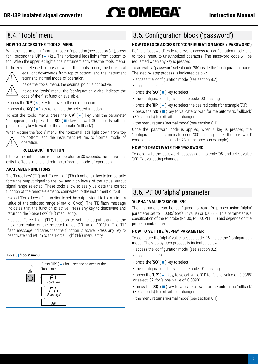# <span id="page-8-3"></span><span id="page-8-0"></span>8.4.  'Tools' menu

# **HOW TO ACCESS THE 'TOOLS' MENU**

With the instrument in 'normal mode' of operation [\(see section 8.1\),](#page-7-1) press for 1 second the 'UP' ( $\triangle$ ) key. The horizontal leds lights from bottom to top. When the upper led lights, the instrument activates the 'tools' menu.



leds light downwards from top to bottom, and the instrument returns to 'normal mode' of operation.

Inside the 'tools' menu, the decimal point is not active.

Inside the 'tools' menu, the 'configuration digits' indicate the code of the first function available.

• press the 'UP' ( $\triangle$ ) key to move to the next function.

• press the 'SQ' ( $\blacksquare$ ) key to activate the selected function.

To exit the 'tools' menu, press the 'UP'  $($   $\rightarrow$  ) key until the parameter '-  $\cdot$ ' appears, and press the ' $SQ'$  ( $\blacksquare$ ) key (or wait 30 seconds without pressing any key to wait for the automatic 'rollback').

When exiting the 'tools' menu, the horizontal leds light down from top to bottom, and the instrument returns to 'normal mode' of



# **'ROLLBACK' FUNCTION**

If there is no interaction from the operator for 30 seconds, the instrument exits the 'tools' menu and returns to 'normal mode' of operation.

# **AVAILABLE FUNCTIONS**

operation.

The 'Force Low' ('FL') and 'Force High' ('Fh') functions allow to temporarily force the output signal to the low and high levels of the actual output signal range selected. These tools allow to easily validate the correct function of the remote elements connected to the instrument output

• select 'Force Low' ('FL') function to set the output signal to the minimum value of the selected range (4mA or 0Vdc). The 'FL' flash message indicates that the function is active. Press any key to deactivate and return to the 'Force Low' ('FL') menu entry.

• select 'Force High' ('Fh') function to set the output signal to the maximum value of the selected range (20 mA or 10 Vdc). The 'Fh' flash message indicates that the function is active. Press any key to deactivate and return to the 'Force High' ('Fh') menu entry.

#### Table 5 **| 'Tools' menu**



# <span id="page-8-1"></span>8.5.  Configuration block ('password')

# **HOW TO BLOCK ACCESS TO 'CONFIGURATION MODE' ('PASSWORD')**

Define a 'password' code to prevent access to 'configuration mode' and to 'tools' menu to unauthorized operators. The 'password' code will be requested when any key is pressed.

To activate a 'password' select code '95' inside the 'configuration mode'. The step-by-step process is indicated below.:

- access the 'configuration mode' [\(see section 8.2\)](#page-7-2)
- access code '95'
- press the ' $sq'$  ( $\blacksquare$ ) key to select
- the 'configuration digits' indicate code '00' flashing
- press the 'UP'  $($   $\blacktriangle$   $)$  key to select the desired code (for example '73')

• press the ' $SQ'$  ( $\blacksquare$ ) key to validate or wait for the automatic 'rollback' (30 seconds) to exit without changes

• the menu returns 'normal mode' [\(see section 8.1\)](#page-7-1)

Once the 'password' code is applied, when a key is pressed, the 'configuration digits' indicate code '00' flashing. enter the 'password' code to unlock access (code '73' in the previous example).

## **HOW TO DEACTIVATE THE 'PASSWORD'**

To deactivate the 'password', access again to code '95' and select value '00'. Exit validating changes.

# <span id="page-8-2"></span>8.6.  Pt100 'alpha' parameter

#### **'ALPHA ' VALUE '385' OR '390'**

The instrument can be configured to read Pt probes using 'alpha' parameter set to '0.0385' (default value) or '0.0390'. This parameter is a specification of the Pt probe (Pt100, Pt500, Pt1000) and depends on the probe manufacturer.

# **HOW TO SET THE 'ALPHA' PARAMETER**

To configure the 'alpha' value, access code '96' inside the 'configuration mode'. The step-by-step process is indicated below.

- access the 'configuration mode' [\(see section 8.2\)](#page-7-2)
- access code '96'
- press the ' $sq'$  ( $\blacksquare$ ) key to select
- the 'configuration digits' indicate code '01' flashing
- press the 'UP' ( $\blacktriangle$ ) key, to select value '01' for 'alpha' value of '0.0385' or select '02' for 'alpha' value of '0.0390'

• press the 'SQ' ( $\blacksquare$ ) key to validate or wait for the automatic 'rollback' (30 seconds) to exit without changes

• the menu returns 'normal mode' [\(see section 8.1\)](#page-7-1)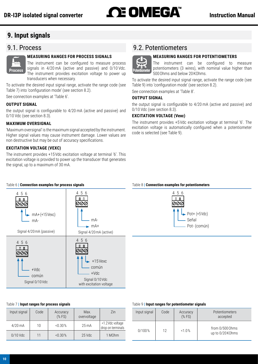# <span id="page-9-0"></span>**9.  Input signals**

# 9.1.  Process



## <span id="page-9-1"></span>**MEASURING RANGES FOR PROCESS SIGNALS**

The instrument can be configured to measure process signals in 4/20 mA (active and passive) and 0/10 Vdc. **Process Signals in 4/20 mA** (active and passive) and 0/10 vdc.<br>The instrument provides excitation voltage to power up transducers when necessary.

To activate the desired input signal range, activate the range code [\(see](#page-9-3)  [Table 7\)](#page-9-3) into 'configuration mode' [\(see section 8.2\).](#page-7-2)

See connection examples at ['Table 6'.](#page-9-4)

#### **OUTPUT SIGNAL**

the output signal is configurable to 4/20 mA (active and passive) and 0/10 Vdc [\(see section 8.3\)](#page-7-3).

## **MAXIMUM OVERSIGNAL**

'Maximum oversignal' is the maximum signal accepted by the instrument. Higher signal values may cause instrument damage. Lower values are non destructive but may be out of accuracy specifications.

## **EXCITATION VOLTAGE (VEXC)**

The instrument provides +15 Vdc excitation voltage at terminal '6'. This excitation voltage is provided to power up the transducer that generates the signal, up to a maximum of 30 mA.

# 9.2.  Potentiometers



<span id="page-9-2"></span>**MEASURING RANGES FOR POTENTIOMETERS**

The instrument can be configured to measure potentiometers (3 wires), with nominal value higher than 500 Ohms and below 20 KOhms.

To activate the desired input signal range, activate the range code [\(see](#page-9-5) [Table 9\)](#page-9-5) into 'configuration mode' [\(see section 8.2\)](#page-7-2).

See connection examples at 'Table 8'.

## **OUTPUT SIGNAL**

the output signal is configurable to 4/20 mA (active and passive) and 0/10 Vdc [\(see section 8.3\)](#page-7-3).

## **EXCITATION VOLTAGE (Vexc)**

The instrument provides +5 Vdc excitation voltage at terminal '6'. The excitation voltage is automatically configured when a potentiometer code is selected [\(see Table 9\)](#page-9-5).

<span id="page-9-4"></span>

#### Table 8 **| Connection examples for potentiometers**



#### <span id="page-9-3"></span>Table 7 **| Input ranges for process signals**

| Input signal | Code | Accuracy<br>$(%$ (% FS) | Max.<br>overvoltage | Zin                                   |
|--------------|------|-------------------------|---------------------|---------------------------------------|
| $4/20$ mA    | 10   | < 0.30 %                | $25 \text{ mA}$     | <1.2 Vdc voltage<br>drop on terminals |
| $0/10$ Vdc   | 11   | < 0.30 %                | 25 Vdc              | 1 M <sub>Ohm</sub>                    |

#### <span id="page-9-5"></span>Table 9 **| Input ranges for potentiometer signals**

| Input signal | Code | Accuracy<br>$(%$ (% FS) | Potentiometers<br>accepted          |
|--------------|------|-------------------------|-------------------------------------|
| 0/100%       | 12   | $1.0\%$                 | from 0/500 Ohms<br>up to 0/20 KOhms |

#### Table 6 **| Connection examples for process signals**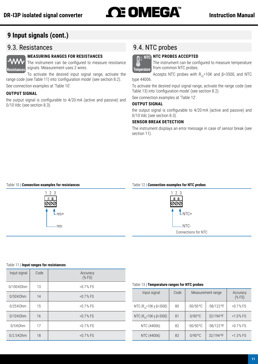# <span id="page-10-0"></span>DR-I3P isolated signal converter<br> **Instruction Manual**

# **9 Input signals (cont.)**

# 9.3.  Resistances



# <span id="page-10-1"></span>**MEASURING RANGES FOR RESISTANCES**

The instrument can be configured to measure resistance signals. Measurement uses 2 wires. **Resistances Temperature**

To activate the desired input signal range, activate the range code [\(see Table 11\)](#page-10-3) into 'configuration mode' [\(see section 8.2\)](#page-7-2).

See connection examples at ['Table 10'.](#page-10-4)

# **OUTPUT SIGNAL**

the output signal is configurable to 4/20 mA (active and passive) and 0/10 Vdc [\(see section 8.3\)](#page-7-3).

# 9.4. NTC probes

# **NTC PROBES ACCEPTED NTC**

<span id="page-10-2"></span>The instrument can be configured to measure temperature from common NTC probes.

Accepts NTC probes with  $R_{25}=10K$  and  $\beta=3500$ , and NTC

type 44006.

To activate the desired input signal range, activate the range code [\(see](#page-10-5) [Table 13\)](#page-10-5) into 'configuration mode' [\(see section 8.2\)](#page-7-2).

See connection examples at ['Table 12'](#page-10-6).

# **OUTPUT SIGNAL**

the output signal is configurable to 4/20 mA (active and passive) and 0/10 Vdc [\(see section 8.3\)](#page-7-3).

# **SENSOR BREAK DETECTION**

The instrument displays an error message in case of sensor break [\(see](#page-13-2) [section 11\).](#page-13-2)

#### Table 10 **| Connection examples for resistances**

<span id="page-10-4"></span>

#### Table 12 **| Connection examples for NTC probes**

<span id="page-10-6"></span>

#### <span id="page-10-3"></span>Table 11 **| Input ranges for resistances**

| Input signal | Code | Accuracy<br>$(%$ (% FS) |
|--------------|------|-------------------------|
| 0/100 KOhm   | 13   | < 0.7 % FS              |
| $0/50$ KOhm  | 14   | $< 0.7 %$ FS            |
| $0/25$ KOhm  | 15   | $< 0.7 %$ FS            |
| 0/10KOhm     | 16   | $< 0.7 %$ FS            |
| 0/5K0hm      | 17   | $< 0.7 %$ FS            |
| $0/2.5$ KOhm | 18   | $< 0.7 %$ FS            |

#### <span id="page-10-5"></span>Table 13 **| Temperature ranges for NTC probes**

| Input signal                        | Code | Measurement range | Accuracy<br>$(%$ (% FS) |              |
|-------------------------------------|------|-------------------|-------------------------|--------------|
| NTC (R <sub>25</sub> =10K y β=3500) | 80   | $-50/50$ °C       | -58/122 °F              | $< 0.7 %$ FS |
| NTC (R <sub>25</sub> =10K y β=3500) | 81   | $0/90$ °C         | 32/194 °F               | $< 1.0 %$ FS |
| NTC (44006)                         | 82   | $-50/50$ °C       | -58/122 °F              | < 0.7 % FS   |
| NTC (44006)                         | 83   | 0/90°C            | 32/194 °F               | < 1.3 % FS   |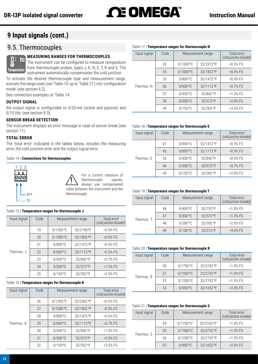# <span id="page-11-0"></span>**9 Input signals (cont.)**

# 9.5.  Thermocouples

#### <span id="page-11-1"></span>**MEASURING RANGES FOR THERMOCOUPLES tc**

The instrument can be configured to measure temperature from thermocouple probes, types J, K, N, E, T, R and S. The instrument automatically compensates the cold junction. **Temperature**

To activate the desired thermocouple type and measurement range, activate the range code (see ['Table 15'](#page-11-2) up to ['Table 21'](#page-11-3)) into 'configuration mode' [\(see section 8.2\)](#page-7-2).

See connection examples at ['Table 14'.](#page-11-4)

#### **OUTPUT SIGNAL**

the output signal is configurable to 4/20 mA (active and passive) and 0/10 Vdc [\(see section 8.3\)](#page-7-3).

#### **SENSOR BREAK DETECTION**

The instrument displays an error message in case of sensor break [\(see](#page-13-2)  [section 11\)](#page-13-2).

#### **TOTAL ERROR**

The 'total error' indicated in the tables below, includes the measuring error, the cold junction error and the output signal error.

#### Table 14 **| Connections for thermocouples**

<span id="page-11-4"></span>

#### Table 15 **| Temperature ranges for thermocouple J**

<span id="page-11-2"></span>

| Input signal | Code | Measurement range | Total error<br>(cold junction included) |             |
|--------------|------|-------------------|-----------------------------------------|-------------|
|              | 19   | $0/1200$ °C       | 32/2190°F                               | $< 0.5%$ FS |
| Thermoc. J   | 20   | $0/1000$ °C       | 32/1832 °F                              | $< 0.5%$ FS |
|              | 21   | $0/800$ °C        | 32/1472 °F                              | $< 0.5%$ FS |
|              | 22   | $0/600$ °C        | 32/1112 °F                              | $< 0.5%$ FS |
|              | 23   | $0/450$ °C        | 32/842°F                                | $< 0.7%$ FS |
|              | 24   | $0/300$ °C        | 32/572°F                                | $< 1.5%$ FS |
|              | 25   | $0/150$ °C        | 32/302 °F                               | $2.5\%$ FS  |

#### Table 16 **| Temperature ranges for thermocouple K**

| Input signal | Code | Measurement range | Total error<br>(cold junction included) |              |
|--------------|------|-------------------|-----------------------------------------|--------------|
|              | 26   | $0/1350$ °C       | 32/2462 °F                              | $< 0.5%$ FS  |
|              | 27   | $0/1000$ °C       | 32/1832 °F                              | $< 0.5%$ FS  |
|              | 28   | $0/800$ °C        | 32/1472 °F                              | $< 0.5%$ FS  |
| Thermoc. K   | 29   | $0/600$ °C        | 32/1112 °F                              | $< 0.7%$ FS  |
|              | 30   | 0/450 °C          | 32/842°F                                | $< 1.0\%$ FS |
|              | 31   | $0/300$ °C        | 32/572°F                                | $2.0\%$ FS   |
|              | 32   | $0/150$ °C        | 32/302 °F                               | $3.5\%$ FS   |

#### Table 17 **| Temperature ranges for thermocouple N**

| Input signal | Code | Measurement range | Total error<br>(cold junction included) |             |
|--------------|------|-------------------|-----------------------------------------|-------------|
|              | 33   | $0/1300$ °C       | 32/2372 °F                              | $< 0.5%$ FS |
|              | 34   | $0/1000$ °C       | 32/1832 °F                              | $< 0.5%$ FS |
|              | 35   | $0/800$ °C        | 32/1472 °F                              | $< 0.5%$ FS |
| Thermoc. N   | 36   | $0/600$ °C        | 32/1112 °F                              | $< 0.7%$ FS |
|              | 37   | 0/450 °C          | 32/842°F                                | $<1.5%$ FS  |
|              | 38   | 0/300 °C          | 32/572 °F                               | <2.0% FS    |
|              | 39   | $0/150$ °C        | 32/302 °F                               | $3.5\%$ FS  |

#### Table 18 **| Temperature ranges for thermocouple E**

| Input signal | Code | Measurement range | Total error<br>(cold junction included) |             |
|--------------|------|-------------------|-----------------------------------------|-------------|
|              | 41   | $0/900$ °C        | 32/1472 °F                              | $< 0.5%$ FS |
| Thermoc. E   | 42   | $0/600$ °C        | 32/1112 °F                              | $< 0.5%$ FS |
|              | 43   | $0/450$ °C        | 32/842°F                                | $< 0.5%$ FS |
|              | 44   | $0/300$ °C        | 32/572°F                                | $< 0.7%$ FS |
|              | 45   | $0/150$ °C        | 32/302 °F                               | $-2.0\%$ FS |

#### Table 19 **| Temperature ranges for thermocouple T**

| Input signal | Code | Measurement range |           | Total error<br>(cold junction included) |
|--------------|------|-------------------|-----------|-----------------------------------------|
| Thermoc. T   | 46   | $0/400$ °C        | 32/752 °F | $< 1.0\%$ FS                            |
|              | 47   | $0/300$ °C        | 32/572 °F | $< 1.3%$ FS                             |
|              | 48   | $0/200$ °C        | 32/392 °F | $2.0\%$ FS                              |
|              | 49   | $0/100$ °C        | 32/212 °F | $<$ 4.0% FS                             |

#### Table 20 **| Temperature ranges for thermocouple R**

| Input signal | Code | Measurement range |            | Total error<br>(cold junction included) |
|--------------|------|-------------------|------------|-----------------------------------------|
| Thermoc. R   | 50   | 0/1750 °C         | 32/3182 °F | $< 1.0\%$ FS                            |
|              | 51   | $0/1500$ °C       | 32/2732 °F | $< 1.0\%$ FS                            |
|              | 52   | $0/1200$ °C       | 32/2192 °F | $<$ 1.5% FS                             |
|              | 53   | $0/900$ °C        | 32/1652 °F | $2.0\%$ FS                              |

#### Table 21 **| Temperature ranges for thermocouple S**

<span id="page-11-3"></span>

| Input signal | Code | Measurement range |             | Total error<br>(cold junction included) |
|--------------|------|-------------------|-------------|-----------------------------------------|
|              | 54   | 0/1750 °C*        | 32/3182 °F* | $< 1.0\%$ FS                            |
| Thermoc. S   | 55   | $0/1500$ °C       | 32/2732 °F  | $< 1.0\%$ FS                            |
|              | 56   | $0/1200$ °C       | 32/2192 °F  | $<$ 1.5% FS                             |
|              | 57   | $0/900$ °C        | 32/1652 °F  | $2.0\%$ FS                              |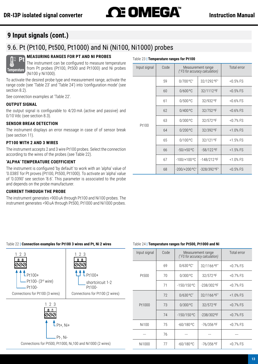Table 23 **| Temperature ranges for Pt100**

# <span id="page-12-0"></span>**9 Input signals (cont.)**

# 9.6.  Pt (Pt100, Pt500, Pt1000) and Ni (Ni100, Ni1000) probes

# <span id="page-12-1"></span>**MEASURING RANGES FOR PT AND NI PROBES**



The instrument can be configured to measure temperature from Pt probes (Pt100, Pt500 and Pt1000) and Ni probes (Ni100 y Ni1000).

To activate the desired probe type and measurement range, activate the range code (see ['Table 23'](#page-12-2) and ['Table 24'\)](#page-12-3) into 'configuration mode' [\(see](#page-7-2)  [section 8.2\).](#page-7-2)

See connection examples at ['Table 22'.](#page-12-4)

#### **OUTPUT SIGNAL**

the output signal is configurable to 4/20 mA (active and passive) and 0/10 Vdc [\(see section 8.3\)](#page-7-3).

# **SENSOR BREAK DETECTION**

The instrument displays an error message in case of of sensor break [\(see section 11\)](#page-13-2).

#### **PT100 WITH 2 AND 3 WIRES**

The instrument accepts 2 and 3 wire Pt100 probes. Select the connection according to the wires of the probes [\(see Table 22\).](#page-12-4)

#### **'ALPHA' TEMPERATURE COEFFICIENT**

The instrument is configured 'by default' to work with an 'alpha' value of '0.0385' for Pt proves (Pt100, Pt500, Pt1000). To activate an 'alpha' value of '0.0390' see section ['8.6'](#page-8-2). This parameter is associated to the probe and depends on the probe manufacturer.

#### **CURRENT THROUGH THE PROBE**

The instrument generates <900 uA through Pt100 and Ni100 probes. The instrument generates <90 uA through Pt500, Pt1000 and Ni1000 probes.

<span id="page-12-2"></span>

| Input signal | Code | Measurement range<br>(*FS for accuracy calculation) |                            | Total error  |
|--------------|------|-----------------------------------------------------|----------------------------|--------------|
|              | 59   | $0/700^{\circ}C^{*}$                                | 32/1292 °F*                | $< 0.5%$ FS  |
|              | 60   | $0/600$ °C                                          | 32/1112 °F                 | $< 0.5%$ FS  |
|              | 61   | $0/500$ °C                                          | 32/932 °F                  | $< 0.6\%$ FS |
|              | 62   | $0/400$ °C                                          | 32/752 °F                  | $< 0.6\%$ FS |
| Pt100        | 63   | $0/300$ °C                                          | 32/572 °F                  | $< 0.7%$ FS  |
|              | 64   | 0/200°C                                             | 32/392 °F                  | $<1.0\%$ FS  |
|              | 65   | 0/100 °C                                            | 32/121 °F                  | $<$ 1.5% FS  |
|              | 66   | $-50/+50$ °C                                        | -58/122 °F                 | $< 1.5%$ FS  |
|              | 67   | $-100/+100°C$                                       | $-148/212$ °F              | $<1.0\%$ FS  |
|              | 68   | $-200/+200 °C^*$                                    | $-328/392$ °F <sup>*</sup> | $< 0.5%$ FS  |

# Table 22 **| Connection examples for Pt100 3 wires and Pt, Ni 2 wires**

<span id="page-12-4"></span>

#### <span id="page-12-3"></span>Table 24 **| Temperature ranges for Pt500, Pt1000 and Ni**

| Input signal | Code | Measurement range<br>(*FS for accuracy calculation) |              | Total error  |
|--------------|------|-----------------------------------------------------|--------------|--------------|
|              | 69   | $0/630$ °C <sup>*</sup>                             | 32/1166 °F*  | $< 0.7%$ FS  |
| Pt500        | 70   | $0/300$ °C                                          | 32/572 °F    | $< 0.7%$ FS  |
|              | 71   | $-150/150$ °C                                       | -238/302 °F  | $< 0.7%$ FS  |
| Pt1000       | 72   | $0/630$ °C <sup>*</sup>                             | 32/1166 °F*  | $< 1.0\%$ FS |
|              | 73   | $0/300$ °C                                          | 32/572 °F    | $< 0.7%$ FS  |
|              | 74   | $-150/150$ °C                                       | -238/302°F   | $< 0.7%$ FS  |
| Ni100        | 75   | $-60/180$ °C                                        | $-76/356$ °F | <0.7% FS     |
|              | 76   |                                                     |              |              |
| Ni1000       | 77   | $-60/180$ °C                                        | $-76/356$ °F | $< 0.7%$ FS  |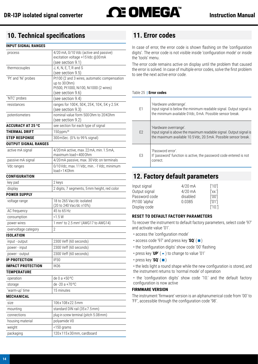<span id="page-13-0"></span>

# **10.  Technical specifications 11.  Error codes**

# **INPUT SIGNAL RANGES**

| process                     | 4/20 mA, 0/10 Vdc (active and passive)                             |
|-----------------------------|--------------------------------------------------------------------|
|                             | excitation voltage +15Vdc @30mA                                    |
|                             | (see section 9.1)                                                  |
| thermocouples               | J, K, N, E, T, R and S                                             |
|                             | (see section 9.5)                                                  |
| 'Pt' and 'Ni' probes        | Pt100 (2 and 3 wires, automatic compensation<br>up to 30 Ohm)      |
|                             | Pt500, Pt1000, Ni100, Ni1000 (2 wires)                             |
|                             | (see section 9.6)                                                  |
| 'NTC' probes                | (see section 9.4)                                                  |
| resistances                 | ranges for 100K, 50K, 25K, 10K, 5K y 2.5K                          |
|                             | (see section 9.3)                                                  |
| potentiometers              | nominal value form 500 Ohm to 20 KOhm                              |
|                             | (see section 9.2)                                                  |
| <b>ACCURACY AT 25 °C</b>    | see section for each type of signal                                |
| <b>THERMAL DRIFT</b>        | 150 ppm/ <sup>o</sup>                                              |
| <b>STEP RESPONSE</b>        | 300 mSec. (0% to 99% signal)                                       |
| <b>OUTPUT SIGNAL RANGES</b> |                                                                    |
| active mA signal            | 4/20 mA active, max. 22 mA, min. 1.5 mA,<br>maximum load < 400 Ohm |
| passive mA signal           | 4/20 mA passive, max. 30 Vdc on terminals                          |
| Vdc ranges                  | 0/10 Vdc, max. 11 Vdc, min -1 Vdc, minimum<br>load > 1 K0hm        |
| <b>CONFIGURATION</b>        |                                                                    |
| key pad                     | 2 keys                                                             |
| display                     | 2 digits, 7 segments, 5mm height, red color                        |
| <b>POWER SUPPLY</b>         |                                                                    |
| voltage range               | 18 to 265 Vac/dc isolated                                          |
|                             | (20 to 240 Vac/dc ±10%)                                            |
| AC frequency                | 45 to 65 Hz                                                        |
| consumption                 | < 1.5 W                                                            |
| power wires                 | 1 mm <sup>2</sup> to 2.5 mm <sup>2</sup> (AWG17 to AWG14)          |
| overvoltage category        | $\overline{2}$                                                     |
| <b>ISOLATION</b>            |                                                                    |
| input - output              | 2300 Veff (60 seconds)                                             |
| power - input               | 2300 Veff (60 seconds)                                             |
| power - output              | 2300 Veff (60 seconds)                                             |
| <b>IP PROTECTION</b>        | IP30                                                               |
| <b>IMPACT PROTECTION</b>    | IK <sub>06</sub>                                                   |
| <b>TEMPERATURE</b>          |                                                                    |
| operation                   | de 0 a +50 °C                                                      |
|                             | de -20 a +70 °C                                                    |
| storage                     |                                                                    |
| 'warm-up' time              | 15 minutes                                                         |
| <b>MECHANICAL</b>           |                                                                    |
| size                        | 106 x 108 x 22.5 mm                                                |
| mounting                    | standard DIN rail (35x7.5mm)                                       |
| connections                 | plug-in screw terminal (pitch 5.08 mm)                             |
| housing material            | polyamide V0                                                       |
| weight                      | <150 grams                                                         |
| packaging                   | 120x115x30mm, cardboard                                            |

<span id="page-13-2"></span>In case of error, the error code is shown flashing on the 'configuration digits'. The error code is not visible inside 'configuration mode' or inside the 'tools' menu.

The error code remains active on display until the problem that caused the error is solved. In case of multiple error codes, solve the first problem to see the next active error code.

#### Table 25 **| Error codes**

| E1 | 'Hardware underrange'.<br>Input signal is below the minimum readable signal. Output signal is<br>the minimum available 0 Vdc, 0 mA. Possible sensor break.       |
|----|------------------------------------------------------------------------------------------------------------------------------------------------------------------|
| E2 | 'Hardware overrrange'.<br>Input signal is above the maximum readable signal. Output signal is<br>the maximum available 10.5 Vdc, 20.5 mA. Possible sensor break. |
| E3 | 'Password error'.<br>If 'password' function is active, the password code entered is not<br>correct.                                                              |

# <span id="page-13-1"></span>**12.  Factory default parameters**

| Input signal  | $4/20$ mA | [10]   |
|---------------|-----------|--------|
| Output signal | $4/20$ mA | ['xx'] |
| Password code | disabled  | [′00′] |
| Pt100 'alpha' | 0.0385    | [011]  |
| Display code  |           | [10.]  |

# **RESET TO DEFAULT FACTORY PARAMETERS**

To recover the instrument to default factory parameters, select code '97' and activate value '01'.

- access the 'configuration mode'
- access code '97' and press key ' $sq'$  ( $\blacksquare$ )
- the 'configuration digits' show code '00' flashing
- press key 'UP'  $($   $\blacktriangle$   $)$  to change to value '01'
- press key ' $SQ'$  ( $\blacksquare$ )

• the leds light a round shape while the new configuration is stored, and the instrument returns to 'normal mode' of operation

• the 'configuration digits' show code '10.' and the default factory configuration is now active

#### **FIRMWARE VERSION**

The instrument 'firmware' version is an alphanumerical code from '00' to 'FF', accessible through the configuration code '98'.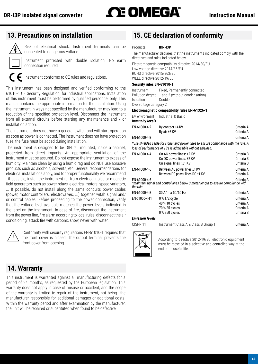<span id="page-14-0"></span>

# **13.  Precautions on installation**

<span id="page-14-1"></span>Risk of electrical shock. Instrument terminals can be connected to dangerous voltage.

Instrument protected with double isolation. No earth connection required.

Instrument conforms to CE rules and regulations.

This instrument has been designed and verified conforming to the 61010-1 CE Security Regulation, for industrial applications. Installation of this instrument must be performed by qualified personnel only. This manual contains the appropriate information for the installation. Using the instrument in ways not specified by the manufacturer may lead to a reduction of the specified protection level. Disconnect the instrument from all external circuits before starting any maintenance and / or installation action.

The instrument does not have a general switch and will start operation as soon as power is connected. The instrument does not have protection fuse, the fuse must be added during installation.

The instrument is designed to be DIN rail mounted, inside a cabinet, protected from direct impacts. An appropriate ventilation of the instrument must be assured. Do not expose the instrument to excess of humidity. Maintain clean by using a humid rag and do NOT use abrasive products such as alcohols, solvents, etc. General recommendations for electrical installations apply, and for proper functionality we recommend : if possible, install the instrument far from electrical noise or magnetic field generators such as power relays, electrical motors, speed variators,

... If possible, do not install along the same conduits power cables (power, motor controllers, electrovalves, ...) together witah signal and/ or control cables. Before proceeding to the power connection, verify that the voltage level available matches the power levels indicated in the label on the instrument. In case of fire, disconnect the instrument from the power line, fire alarm according to local rules, disconnect the air conditioning, attack fire with carbonic snow, never with water.



Conformity with security regulations EN-61010-1 requires that the front cover is closed. The output terminal prevents the front cover from opening.

# **14.  Warranty**

This instrument is warranted against all manufacturing defects for a period of 24 months, as requested by the European legislation. This warranty does not apply in case of misuse or accident, and the scope of the warranty is limited to repair of the instrument, not being the manufacturer responsible for additional damages or additional costs. Within the warranty period and after examination by the manufacturer, the unit will be repaired or substituted when found to be defective.

# **15.  CE declaration of conformity**

#### Products **IDR-I3P**

The manufacturer declares that the instruments indicated comply with the directives and rules indicated below.

Electromagnetic compatibility directive 2014/30/EU Low voltage directive 2014/35/EU ROHS directive 2015/863/EU WEEE directive 2012/19/EU

#### **Security rules EN-61010-1**

Instrument Fixed, Permanently connected Pollution degree 1 and 2 (without condensation) Isolation Double Overvoltage category 2

#### **Electromagnetic compatibility rules EN-61326-1**

|                        | EM environment Industrial & Basic |            |
|------------------------|-----------------------------------|------------|
| <b>Immunity levels</b> |                                   |            |
| EN-61000-4-2           | By contact ±4 KV                  | Criteria A |
|                        | By air ±8 KV                      | Criteria A |

EN-61000-4-3 Criteria A

*\*use shielded cable for signal and power lines to assure compliance with the rule. A loss of performance of ±5% is admissible without shielded.*

| EN-61000-4-4           | On AC power lines: ±2 KV                                                          | Criteria B      |
|------------------------|-----------------------------------------------------------------------------------|-----------------|
|                        | On DC power lines: ±2 KV                                                          | Criteria B      |
|                        |                                                                                   |                 |
|                        | On signal lines: ±1 KV                                                            | Criteria B      |
| EN-61000-4-5           | Between AC power lines ±1 KV                                                      | Criteria A      |
|                        | Between DC power lines DC ±1 KV                                                   | Criteria A      |
|                        |                                                                                   |                 |
| EN-61000-4-6           |                                                                                   | Criteria A      |
|                        | *maintain signal and control lines below 3 meter length to assure compliance with |                 |
| the rule.              |                                                                                   |                 |
| EN-61000-4-8           | 30 A/m a 50/60 Hz                                                                 | Criteria A      |
| EN-61000-4-11          | 0 % 1/2 cycle                                                                     | Criteria A      |
|                        | 40 % 10 cycles                                                                    | Criteria A      |
|                        | 70 % 25 cycles                                                                    | Criteria A      |
|                        | 0 % 250 cycles                                                                    | Criteria B      |
| <b>Emission levels</b> |                                                                                   |                 |
|                        |                                                                                   |                 |
|                        | Instrument Cleas A & Cleas D Croup 1                                              | $Oright \sim 1$ |

CISPR 11 Instrument Class A & Class B Group 1 Criteria A



According to directive 2012/19/EU, electronic equipment must be recycled in a selective and controlled way at the end of its useful life.